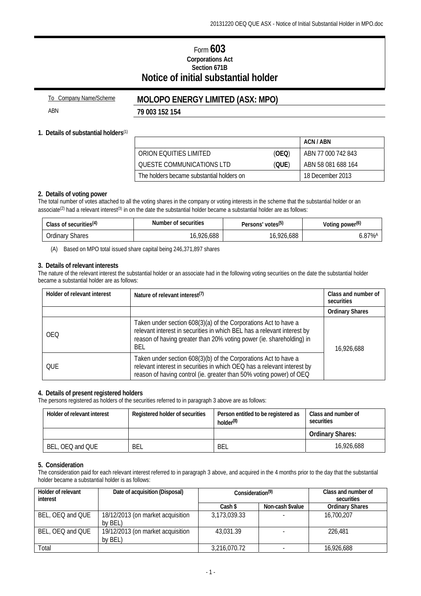# Form **603 Corporations Act Section 671B Notice of initial substantial holder**

| To Company Name/Scheme | <b>MOLOPO ENERGY LIMITED (ASX: MPO)</b> |
|------------------------|-----------------------------------------|
| ABN                    | 79 003 152 154                          |

### **1. Details of substantial holders**(1)

|                                           |       | ACN / ABN          |
|-------------------------------------------|-------|--------------------|
| ORION FOULTIES LIMITED                    | (OEQ) | ABN 77 000 742 843 |
| OUESTE COMMUNICATIONS LTD                 | (QUE) | ABN 58 081 688 164 |
| The holders became substantial holders on |       | 18 December 2013   |

#### **2. Details of voting power**

The total number of votes attached to all the voting shares in the company or voting interests in the scheme that the substantial holder or an associate<sup>(2)</sup> had a relevant interest<sup>(3)</sup> in on the date the substantial holder became a substantial holder are as follows:

| Class of securities <sup>(4)</sup> | Number of securities | Persons' votes <sup>(5)</sup> | Voting power <sup>(6)</sup> |
|------------------------------------|----------------------|-------------------------------|-----------------------------|
| <b>Ordinary Shares</b>             | 16,926,688           | 16,926,688                    | 6.87% <sup>/</sup>          |

(A) Based on MPO total issued share capital being 246,371,897 shares

#### **3. Details of relevant interests**

The nature of the relevant interest the substantial holder or an associate had in the following voting securities on the date the substantial holder became a substantial holder are as follows:

| Holder of relevant interest | Nature of relevant interest <sup>(7)</sup>                                                                                                                                                                                       | Class and number of<br>securities |
|-----------------------------|----------------------------------------------------------------------------------------------------------------------------------------------------------------------------------------------------------------------------------|-----------------------------------|
|                             |                                                                                                                                                                                                                                  | <b>Ordinary Shares</b>            |
| <b>OEO</b>                  | Taken under section 608(3)(a) of the Corporations Act to have a<br>relevant interest in securities in which BEL has a relevant interest by<br>reason of having greater than 20% voting power (ie. shareholding) in<br><b>BEL</b> | 16,926,688                        |
| OUE                         | Taken under section 608(3)(b) of the Corporations Act to have a<br>relevant interest in securities in which OEQ has a relevant interest by<br>reason of having control (ie. greater than 50% voting power) of OEQ                |                                   |

### **4. Details of present registered holders**

The persons registered as holders of the securities referred to in paragraph 3 above are as follows:

| Holder of relevant interest | Registered holder of securities | Person entitled to be registered as<br>holder <sup>(8)</sup> | Class and number of<br>securities |
|-----------------------------|---------------------------------|--------------------------------------------------------------|-----------------------------------|
|                             |                                 |                                                              | <b>Ordinary Shares:</b>           |
| BEL, OEQ and QUE            | BEL                             | BEL                                                          | 16,926,688                        |

#### **5. Consideration**

The consideration paid for each relevant interest referred to in paragraph 3 above, and acquired in the 4 months prior to the day that the substantial holder became a substantial holder is as follows:

| Holder of relevant<br>interest | Date of acquisition (Disposal)               | Consideration <sup>(9)</sup> |                  | Class and number of<br>securities |
|--------------------------------|----------------------------------------------|------------------------------|------------------|-----------------------------------|
|                                |                                              | Cash \$                      | Non-cash \$value | <b>Ordinary Shares</b>            |
| BEL, OEQ and QUE               | 18/12/2013 (on market acquisition<br>by BEL) | 3,173,039.33                 |                  | 16,700,207                        |
| BEL, OEQ and QUE               | 19/12/2013 (on market acquisition<br>by BEL) | 43.031.39                    |                  | 226.481                           |
| Total                          |                                              | 3,216,070.72                 |                  | 16,926,688                        |